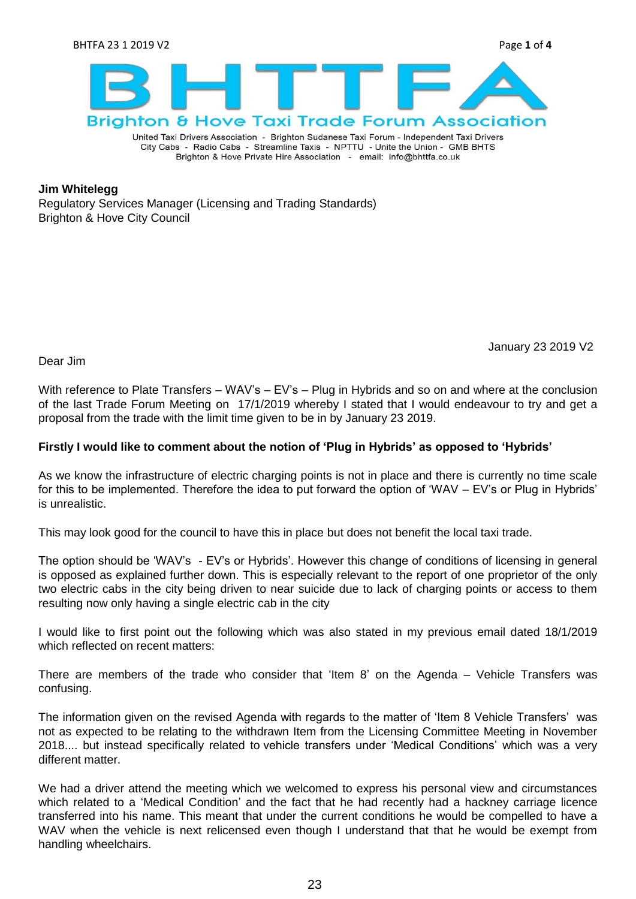

United Taxi Drivers Association - Brighton Sudanese Taxi Forum - Independent Taxi Drivers City Cabs - Radio Cabs - Streamline Taxis - NPTTU - Unite the Union - GMB BHTS Brighton & Hove Private Hire Association - email: info@bhttfa.co.uk

### **Jim Whitelegg**

Regulatory Services Manager (Licensing and Trading Standards) Brighton & Hove City Council

January 23 2019 V2

Dear Jim

With reference to Plate Transfers – WAV's – EV's – Plug in Hybrids and so on and where at the conclusion of the last Trade Forum Meeting on 17/1/2019 whereby I stated that I would endeavour to try and get a proposal from the trade with the limit time given to be in by January 23 2019.

## **Firstly I would like to comment about the notion of 'Plug in Hybrids' as opposed to 'Hybrids'**

As we know the infrastructure of electric charging points is not in place and there is currently no time scale for this to be implemented. Therefore the idea to put forward the option of "WAV – EV"s or Plug in Hybrids" is unrealistic.

This may look good for the council to have this in place but does not benefit the local taxi trade.

The option should be 'WAV's - EV's or Hybrids'. However this change of conditions of licensing in general is opposed as explained further down. This is especially relevant to the report of one proprietor of the only two electric cabs in the city being driven to near suicide due to lack of charging points or access to them resulting now only having a single electric cab in the city

I would like to first point out the following which was also stated in my previous email dated 18/1/2019 which reflected on recent matters:

There are members of the trade who consider that "Item 8" on the Agenda – Vehicle Transfers was confusing.

The information given on the revised Agenda with regards to the matter of 'Item 8 Vehicle Transfers' was not as expected to be relating to the withdrawn Item from the Licensing Committee Meeting in November 2018.... but instead specifically related to vehicle transfers under "Medical Conditions" which was a very different matter.

We had a driver attend the meeting which we welcomed to express his personal view and circumstances which related to a "Medical Condition" and the fact that he had recently had a hackney carriage licence transferred into his name. This meant that under the current conditions he would be compelled to have a WAV when the vehicle is next relicensed even though I understand that that he would be exempt from handling wheelchairs.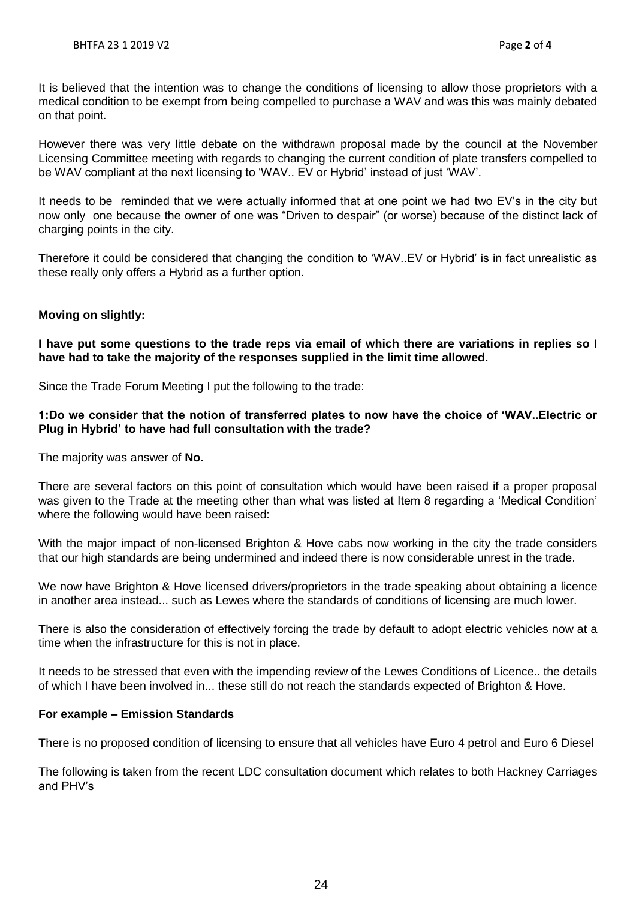It is believed that the intention was to change the conditions of licensing to allow those proprietors with a medical condition to be exempt from being compelled to purchase a WAV and was this was mainly debated on that point.

However there was very little debate on the withdrawn proposal made by the council at the November Licensing Committee meeting with regards to changing the current condition of plate transfers compelled to be WAV compliant at the next licensing to 'WAV.. EV or Hybrid' instead of just 'WAV'.

It needs to be reminded that we were actually informed that at one point we had two EV"s in the city but now only one because the owner of one was "Driven to despair" (or worse) because of the distinct lack of charging points in the city.

Therefore it could be considered that changing the condition to "WAV..EV or Hybrid" is in fact unrealistic as these really only offers a Hybrid as a further option.

# **Moving on slightly:**

**I have put some questions to the trade reps via email of which there are variations in replies so I have had to take the majority of the responses supplied in the limit time allowed.**

Since the Trade Forum Meeting I put the following to the trade:

## **1:Do we consider that the notion of transferred plates to now have the choice of 'WAV..Electric or Plug in Hybrid' to have had full consultation with the trade?**

The majority was answer of **No.**

There are several factors on this point of consultation which would have been raised if a proper proposal was given to the Trade at the meeting other than what was listed at Item 8 regarding a 'Medical Condition' where the following would have been raised:

With the major impact of non-licensed Brighton & Hove cabs now working in the city the trade considers that our high standards are being undermined and indeed there is now considerable unrest in the trade.

We now have Brighton & Hove licensed drivers/proprietors in the trade speaking about obtaining a licence in another area instead... such as Lewes where the standards of conditions of licensing are much lower.

There is also the consideration of effectively forcing the trade by default to adopt electric vehicles now at a time when the infrastructure for this is not in place.

It needs to be stressed that even with the impending review of the Lewes Conditions of Licence.. the details of which I have been involved in... these still do not reach the standards expected of Brighton & Hove.

#### **For example – Emission Standards**

There is no proposed condition of licensing to ensure that all vehicles have Euro 4 petrol and Euro 6 Diesel

The following is taken from the recent LDC consultation document which relates to both Hackney Carriages and PHV"s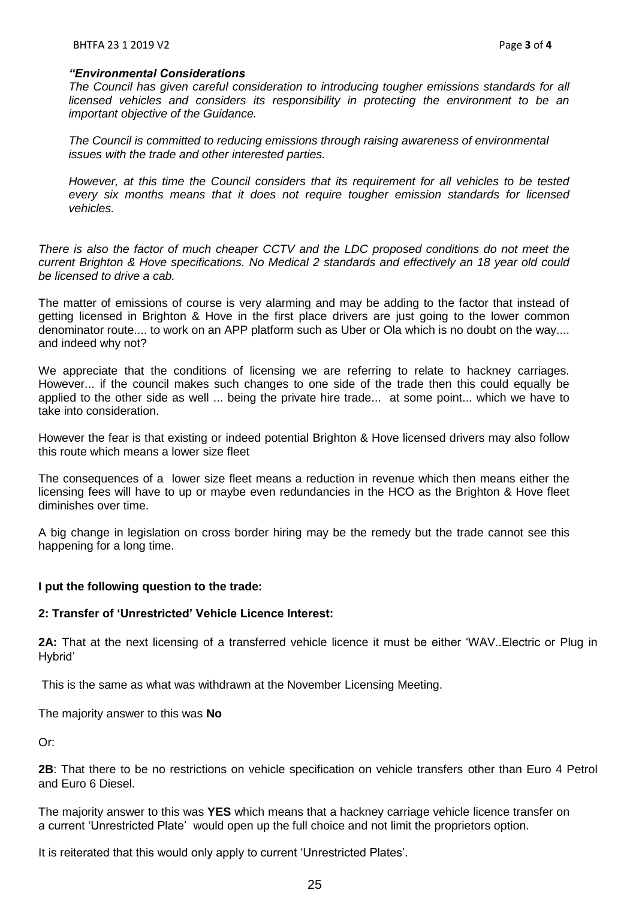#### *"Environmental Considerations*

*The Council has given careful consideration to introducing tougher emissions standards for all licensed vehicles and considers its responsibility in protecting the environment to be an important objective of the Guidance.*

*The Council is committed to reducing emissions through raising awareness of environmental issues with the trade and other interested parties.*

*However, at this time the Council considers that its requirement for all vehicles to be tested every six months means that it does not require tougher emission standards for licensed vehicles.*

*There is also the factor of much cheaper CCTV and the LDC proposed conditions do not meet the current Brighton & Hove specifications. No Medical 2 standards and effectively an 18 year old could be licensed to drive a cab.*

The matter of emissions of course is very alarming and may be adding to the factor that instead of getting licensed in Brighton & Hove in the first place drivers are just going to the lower common denominator route.... to work on an APP platform such as Uber or Ola which is no doubt on the way.... and indeed why not?

We appreciate that the conditions of licensing we are referring to relate to hackney carriages. However... if the council makes such changes to one side of the trade then this could equally be applied to the other side as well ... being the private hire trade... at some point... which we have to take into consideration.

However the fear is that existing or indeed potential Brighton & Hove licensed drivers may also follow this route which means a lower size fleet

The consequences of a lower size fleet means a reduction in revenue which then means either the licensing fees will have to up or maybe even redundancies in the HCO as the Brighton & Hove fleet diminishes over time.

A big change in legislation on cross border hiring may be the remedy but the trade cannot see this happening for a long time.

# **I put the following question to the trade:**

### **2: Transfer of 'Unrestricted' Vehicle Licence Interest:**

**2A:** That at the next licensing of a transferred vehicle licence it must be either "WAV..Electric or Plug in Hybrid'

This is the same as what was withdrawn at the November Licensing Meeting.

The majority answer to this was **No**

Or:

**2B**: That there to be no restrictions on vehicle specification on vehicle transfers other than Euro 4 Petrol and Euro 6 Diesel.

The majority answer to this was **YES** which means that a hackney carriage vehicle licence transfer on a current "Unrestricted Plate" would open up the full choice and not limit the proprietors option.

It is reiterated that this would only apply to current "Unrestricted Plates".